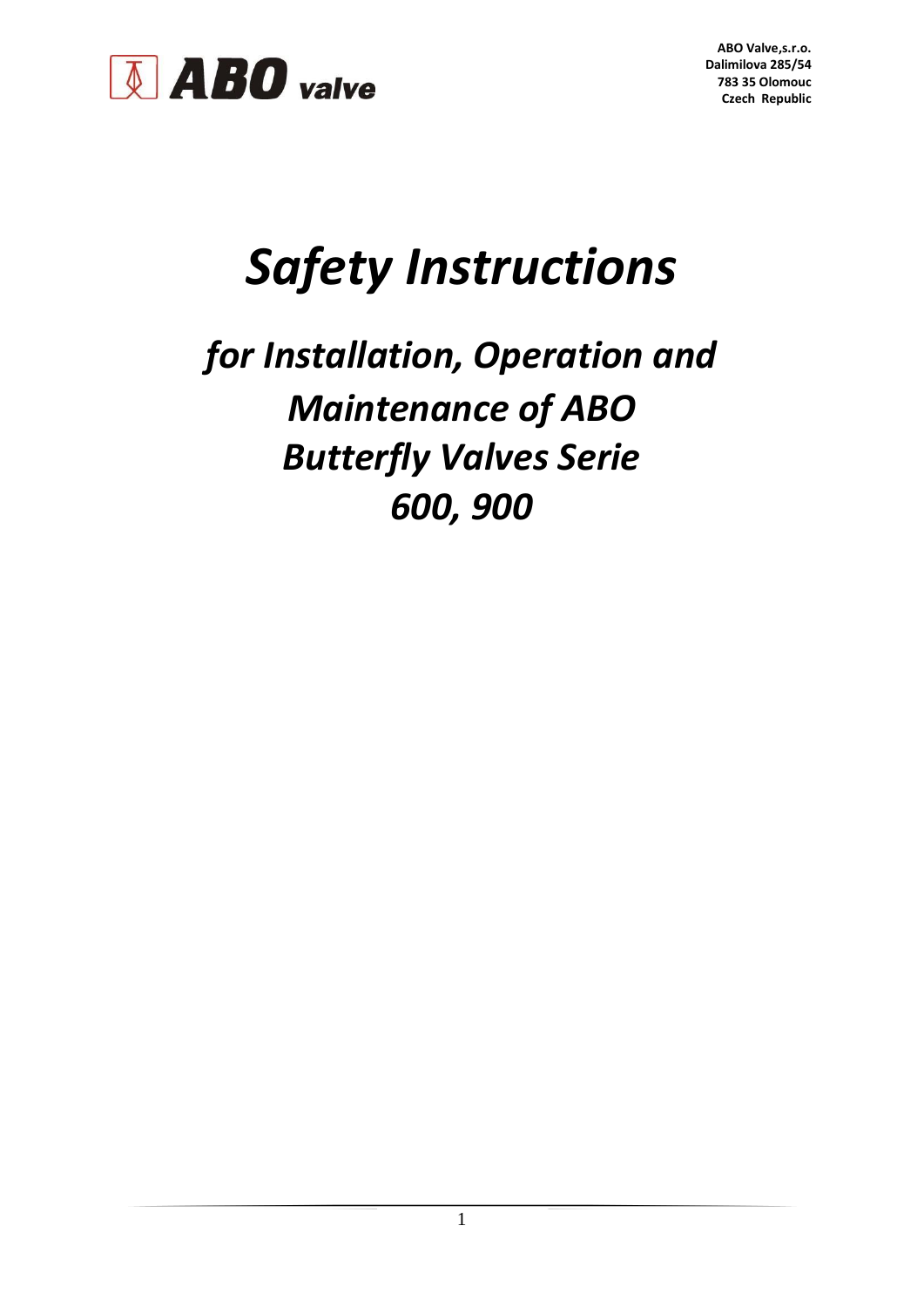

## *Safety Instructions*

## *for Installation, Operation and Maintenance of ABO Butterfly Valves Serie 600, 900*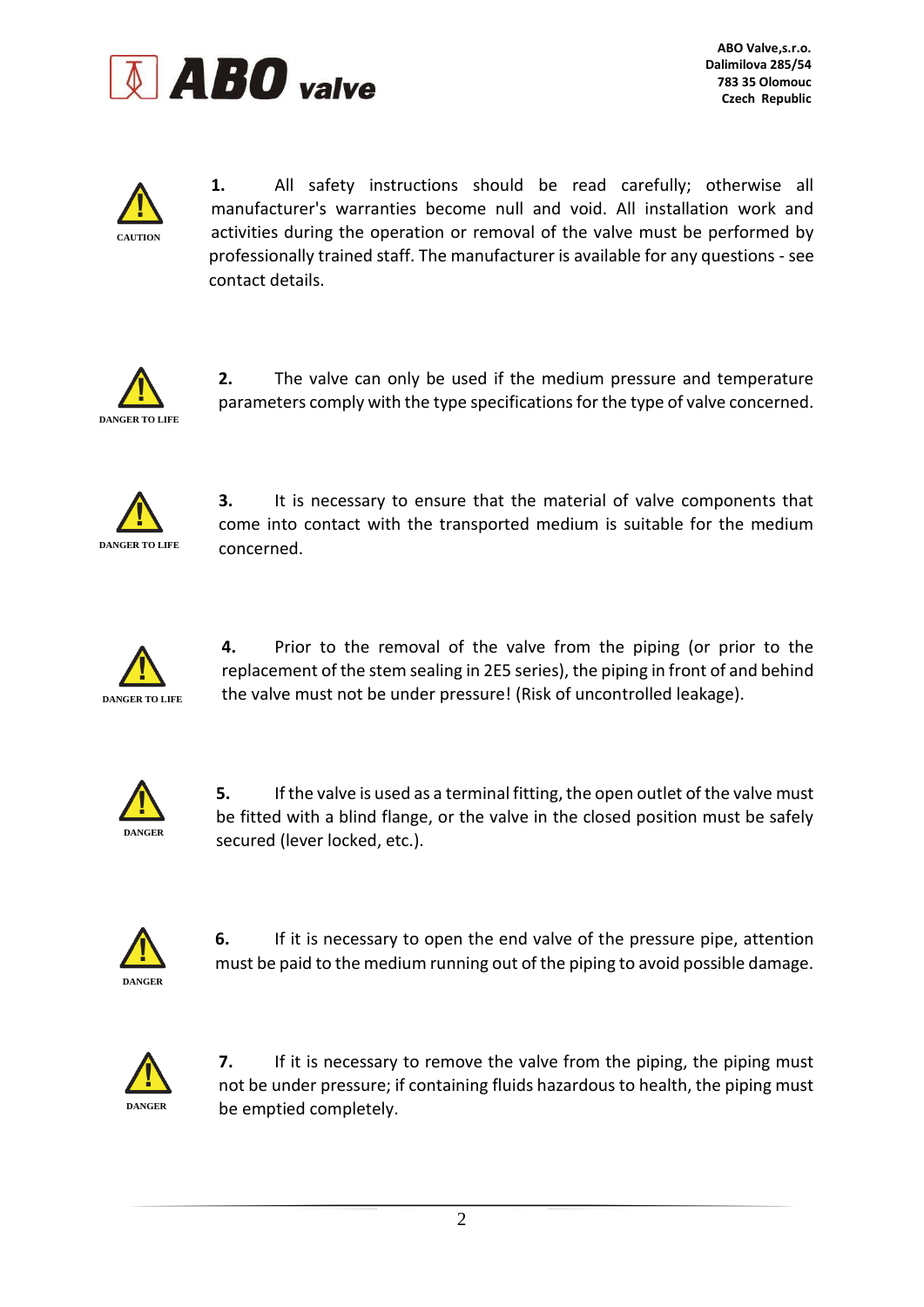



**1.** All safety instructions should be read carefully; otherwise all manufacturer's warranties become null and void. All installation work and activities during the operation or removal of the valve must be performed by professionally trained staff. The manufacturer is available for any questions - see contact details.



**2.** The valve can only be used if the medium pressure and temperature parameters comply with the type specifications for the type of valve concerned.



**3.** It is necessary to ensure that the material of valve components that come into contact with the transported medium is suitable for the medium concerned.



**4.** Prior to the removal of the valve from the piping (or prior to the replacement of the stem sealing in 2E5 series), the piping in front of and behind the valve must not be under pressure! (Risk of uncontrolled leakage).



**5.** If the valve is used as a terminal fitting, the open outlet of the valve must be fitted with a blind flange, or the valve in the closed position must be safely secured (lever locked, etc.).



**6.** If it is necessary to open the end valve of the pressure pipe, attention must be paid to the medium running out of the piping to avoid possible damage.



**7.** If it is necessary to remove the valve from the piping, the piping must not be under pressure; if containing fluids hazardous to health, the piping must be emptied completely.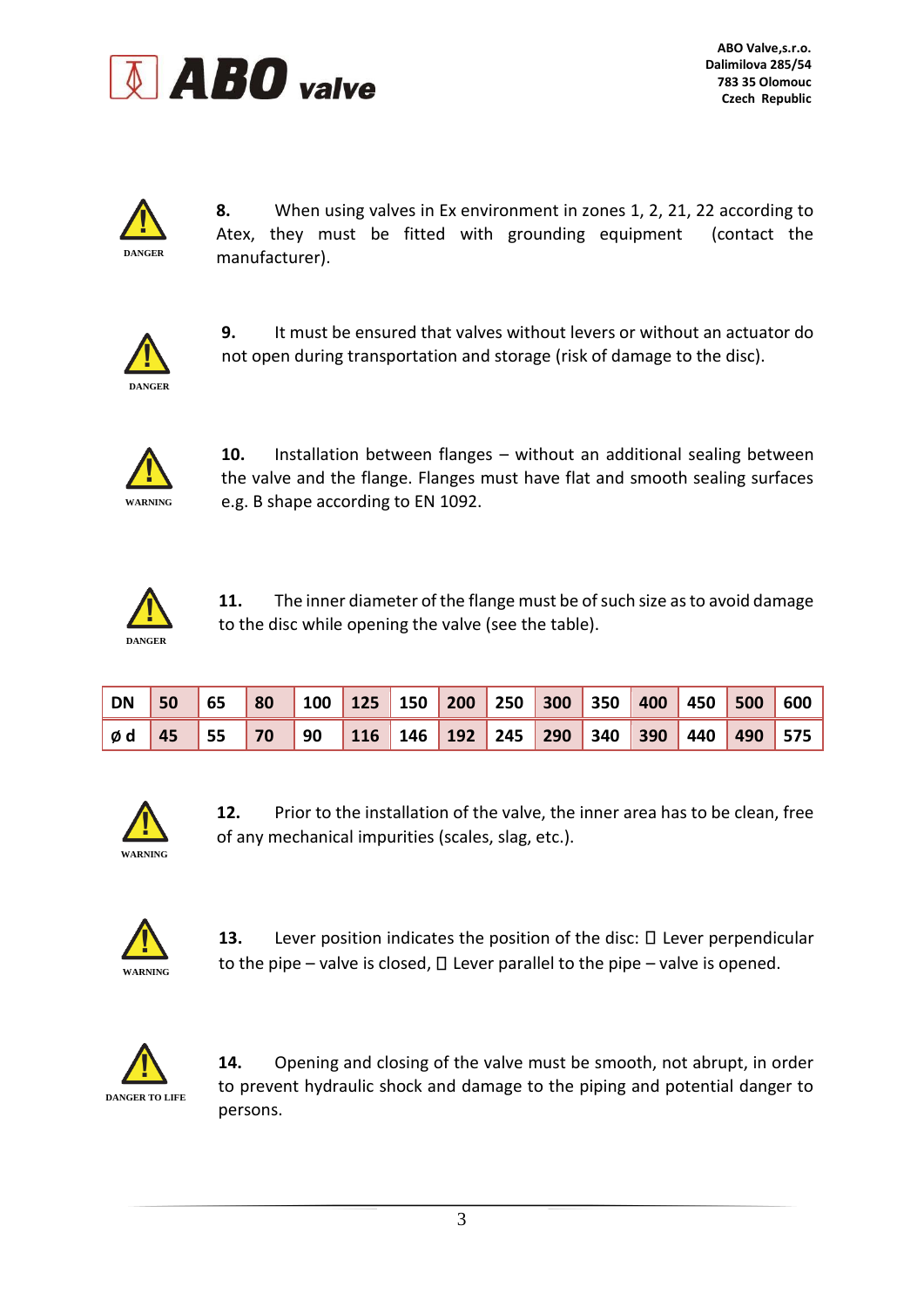



**8.** When using valves in Ex environment in zones 1, 2, 21, 22 according to Atex, they must be fitted with grounding equipment (contact the manufacturer).



**9.** It must be ensured that valves without levers or without an actuator do not open during transportation and storage (risk of damage to the disc).



**10.** Installation between flanges – without an additional sealing between the valve and the flange. Flanges must have flat and smooth sealing surfaces e.g. B shape according to EN 1092.



**11.** The inner diameter of the flange must be of such size as to avoid damage to the disc while opening the valve (see the table).

| DN 50          | $\begin{array}{ c c }$ 65 | 80 100 125 150 200 250 300 350 400 450 500 600 |  |  |  |  |                                               |
|----------------|---------------------------|------------------------------------------------|--|--|--|--|-----------------------------------------------|
| $\phi$ d 45 55 |                           |                                                |  |  |  |  | 70 90 116 146 192 245 290 340 390 440 490 575 |



**12.** Prior to the installation of the valve, the inner area has to be clean, free of any mechanical impurities (scales, slag, etc.).



**13.** Lever position indicates the position of the disc:  $\Box$  Lever perpendicular to the pipe – valve is closed,  $\Box$  Lever parallel to the pipe – valve is opened.



**14.** Opening and closing of the valve must be smooth, not abrupt, in order to prevent hydraulic shock and damage to the piping and potential danger to persons.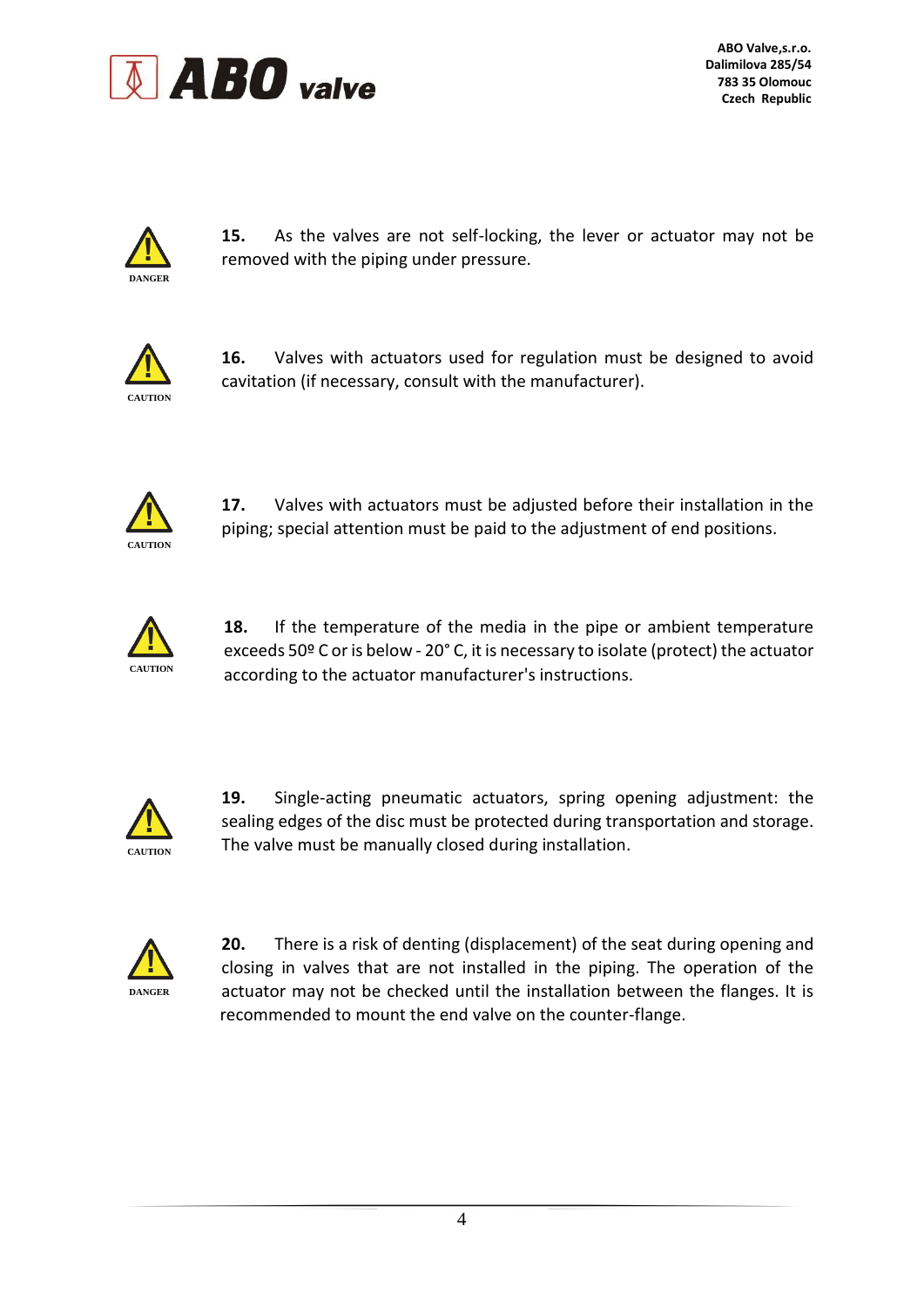



**15.** As the valves are not self-locking, the lever or actuator may not be removed with the piping under pressure.



**16.** Valves with actuators used for regulation must be designed to avoid cavitation (if necessary, consult with the manufacturer).



**17.** Valves with actuators must be adjusted before their installation in the piping; special attention must be paid to the adjustment of end positions.



**18.** If the temperature of the media in the pipe or ambient temperature exceeds 50º C or is below - 20° C, it is necessary to isolate (protect) the actuator according to the actuator manufacturer's instructions.



**19.** Single-acting pneumatic actuators, spring opening adjustment: the sealing edges of the disc must be protected during transportation and storage. The valve must be manually closed during installation.



**20.** There is a risk of denting (displacement) of the seat during opening and closing in valves that are not installed in the piping. The operation of the actuator may not be checked until the installation between the flanges. It is recommended to mount the end valve on the counter-flange.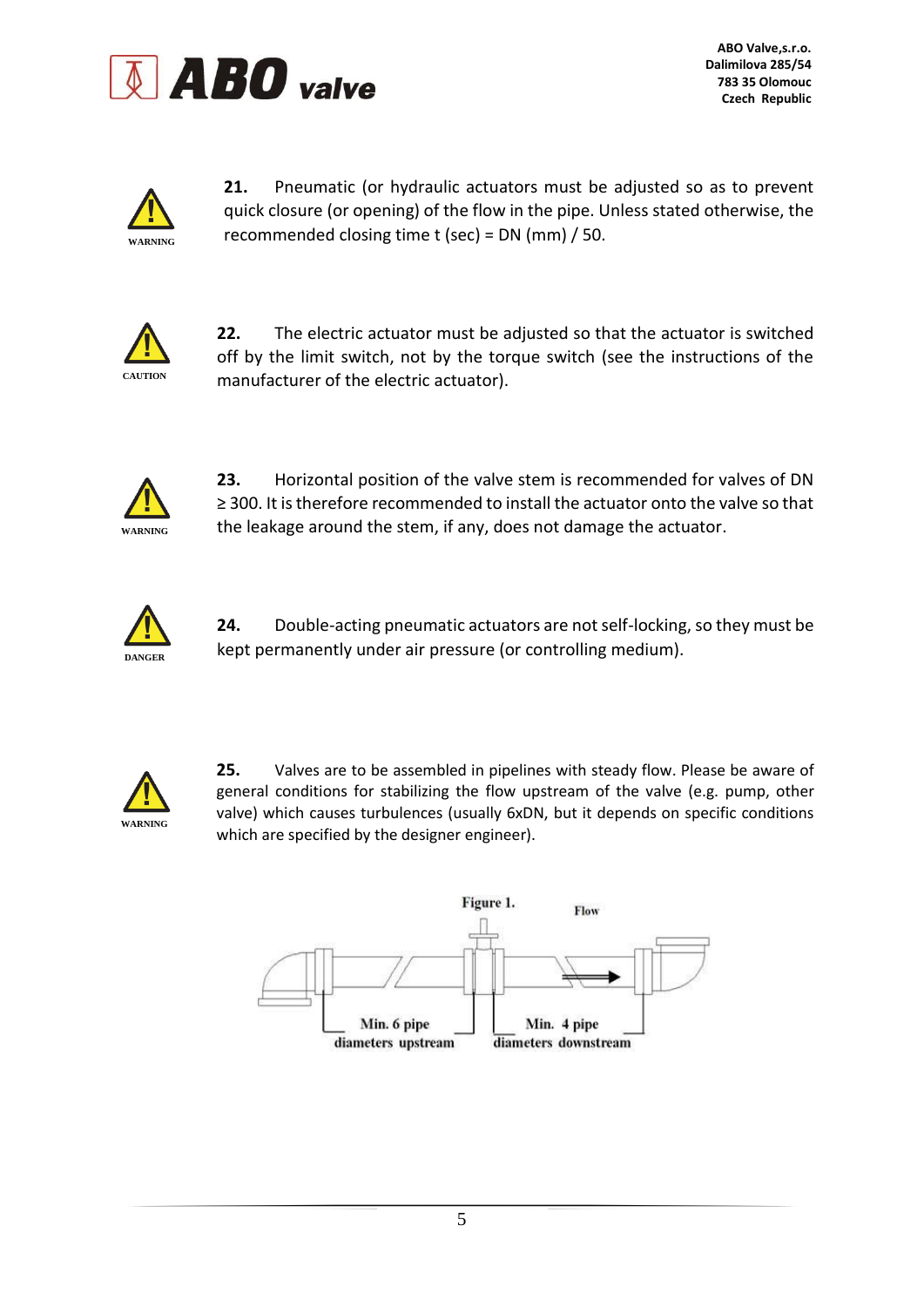



**21.** Pneumatic (or hydraulic actuators must be adjusted so as to prevent quick closure (or opening) of the flow in the pipe. Unless stated otherwise, the recommended closing time t (sec) = DN (mm) / 50.



**22.** The electric actuator must be adjusted so that the actuator is switched off by the limit switch, not by the torque switch (see the instructions of the manufacturer of the electric actuator).



**23.** Horizontal position of the valve stem is recommended for valves of DN ≥ 300. It is therefore recommended to install the actuator onto the valve so that the leakage around the stem, if any, does not damage the actuator.



**24.** Double-acting pneumatic actuators are not self-locking, so they must be kept permanently under air pressure (or controlling medium).



**25.** Valves are to be assembled in pipelines with steady flow. Please be aware of general conditions for stabilizing the flow upstream of the valve (e.g. pump, other valve) which causes turbulences (usually 6xDN, but it depends on specific conditions which are specified by the designer engineer).

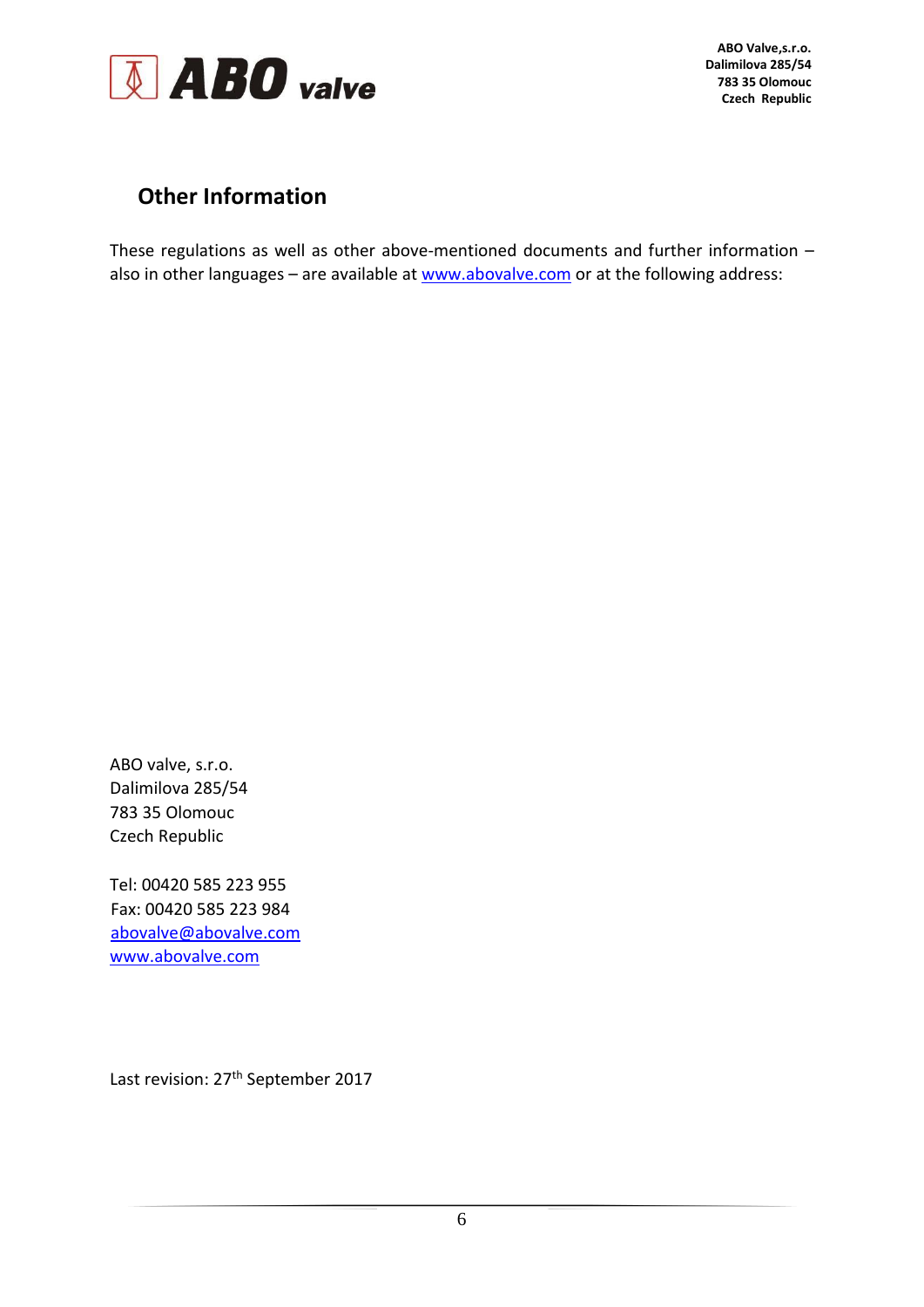

## **Other Information**

These regulations as well as other above-mentioned documents and further information – also in other languages - are available at [www.abovalve.com](http://www.abovalve.com/) or at the following address:

ABO valve, s.r.o. Dalimilova 285/54 783 35 Olomouc Czech Republic

Tel: 00420 585 223 955 Fax: 00420 585 223 984 abovalve@abovalve.com [www.abovalve.com](http://www.abovalve.com/)

Last revision: 27<sup>th</sup> September 2017